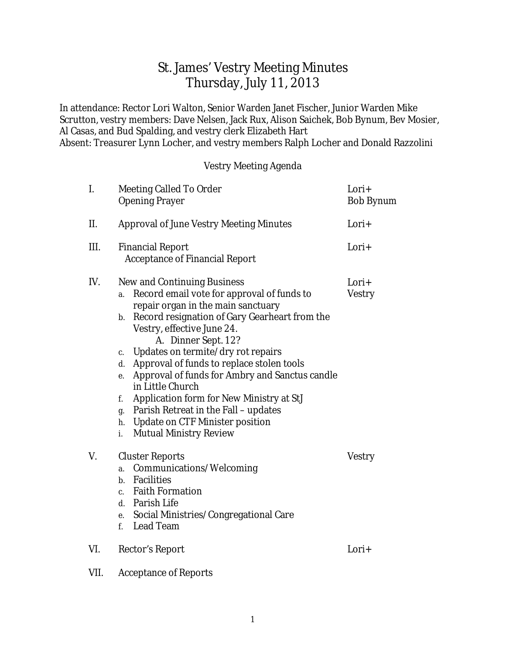# St. James' Vestry Meeting Minutes Thursday, July 11, 2013

In attendance: Rector Lori Walton, Senior Warden Janet Fischer, Junior Warden Mike Scrutton, vestry members: Dave Nelsen, Jack Rux, Alison Saichek, Bob Bynum, Bev Mosier, Al Casas, and Bud Spalding, and vestry clerk Elizabeth Hart Absent: Treasurer Lynn Locher, and vestry members Ralph Locher and Donald Razzolini

#### Vestry Meeting Agenda

| I.   | <b>Meeting Called To Order</b><br><b>Opening Prayer</b>                                                                                                                                                                                                                                                                                                                                                                                                                                                                                                                                                                  | Lori+<br><b>Bob Bynum</b> |
|------|--------------------------------------------------------------------------------------------------------------------------------------------------------------------------------------------------------------------------------------------------------------------------------------------------------------------------------------------------------------------------------------------------------------------------------------------------------------------------------------------------------------------------------------------------------------------------------------------------------------------------|---------------------------|
| II.  | <b>Approval of June Vestry Meeting Minutes</b>                                                                                                                                                                                                                                                                                                                                                                                                                                                                                                                                                                           | Lori+                     |
| III. | <b>Financial Report</b><br><b>Acceptance of Financial Report</b>                                                                                                                                                                                                                                                                                                                                                                                                                                                                                                                                                         | Lori+                     |
| IV.  | <b>New and Continuing Business</b><br>Record email vote for approval of funds to<br>a.<br>repair organ in the main sanctuary<br>Record resignation of Gary Gearheart from the<br>b.<br>Vestry, effective June 24.<br>A. Dinner Sept. 12?<br>Updates on termite/dry rot repairs<br>c.<br>Approval of funds to replace stolen tools<br>d.<br><b>Approval of funds for Ambry and Sanctus candle</b><br>e.<br>in Little Church<br><b>Application form for New Ministry at StJ</b><br>f.<br>Parish Retreat in the Fall - updates<br>g.<br><b>Update on CTF Minister position</b><br>h.<br><b>Mutual Ministry Review</b><br>i. | Lori+<br><b>Vestry</b>    |
| V.   | <b>Cluster Reports</b><br>Communications/Welcoming<br>a.<br><b>Facilities</b><br>$\mathbf{b}$ .<br><b>Faith Formation</b><br>c.<br>d. Parish Life<br>Social Ministries/Congregational Care<br>e.<br><b>Lead Team</b><br>f.                                                                                                                                                                                                                                                                                                                                                                                               | <b>Vestry</b>             |
| VI.  | <b>Rector's Report</b>                                                                                                                                                                                                                                                                                                                                                                                                                                                                                                                                                                                                   | Lori+                     |
| VII. | <b>Acceptance of Reports</b>                                                                                                                                                                                                                                                                                                                                                                                                                                                                                                                                                                                             |                           |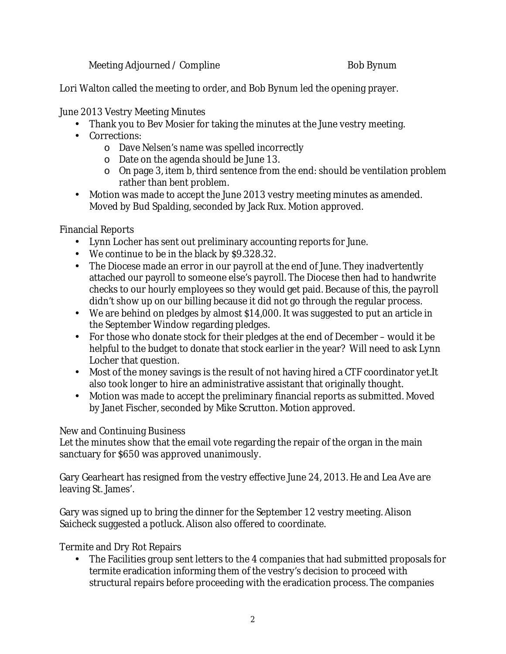Meeting Adjourned / Compline Bob Bynum

Lori Walton called the meeting to order, and Bob Bynum led the opening prayer.

June 2013 Vestry Meeting Minutes

- Thank you to Bev Mosier for taking the minutes at the June vestry meeting.
- Corrections:
	- o Dave Nelsen's name was spelled incorrectly
	- o Date on the agenda should be June 13.
	- o On page 3, item b, third sentence from the end: should be ventilation problem rather than bent problem.
- Motion was made to accept the June 2013 vestry meeting minutes as amended. Moved by Bud Spalding, seconded by Jack Rux. Motion approved.

Financial Reports

- Lynn Locher has sent out preliminary accounting reports for June.
- We continue to be in the black by \$9.328.32.
- The Diocese made an error in our payroll at the end of June. They inadvertently attached our payroll to someone else's payroll. The Diocese then had to handwrite checks to our hourly employees so they would get paid. Because of this, the payroll didn't show up on our billing because it did not go through the regular process.
- We are behind on pledges by almost \$14,000. It was suggested to put an article in the September Window regarding pledges.
- For those who donate stock for their pledges at the end of December would it be helpful to the budget to donate that stock earlier in the year? Will need to ask Lynn Locher that question.
- Most of the money savings is the result of not having hired a CTF coordinator yet.It also took longer to hire an administrative assistant that originally thought.
- Motion was made to accept the preliminary financial reports as submitted. Moved by Janet Fischer, seconded by Mike Scrutton. Motion approved.

# New and Continuing Business

Let the minutes show that the email vote regarding the repair of the organ in the main sanctuary for \$650 was approved unanimously.

Gary Gearheart has resigned from the vestry effective June 24, 2013. He and Lea Ave are leaving St. James'.

Gary was signed up to bring the dinner for the September 12 vestry meeting. Alison Saicheck suggested a potluck. Alison also offered to coordinate.

Termite and Dry Rot Repairs

• The Facilities group sent letters to the 4 companies that had submitted proposals for termite eradication informing them of the vestry's decision to proceed with structural repairs before proceeding with the eradication process. The companies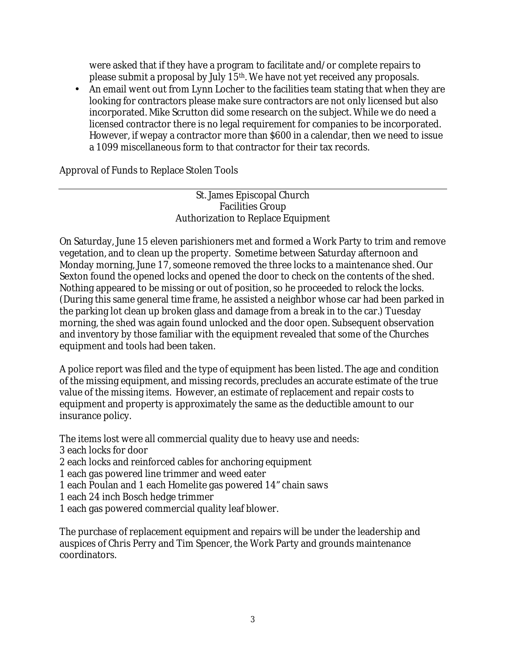were asked that if they have a program to facilitate and/or complete repairs to please submit a proposal by July 15th. We have not yet received any proposals.

• An email went out from Lynn Locher to the facilities team stating that when they are looking for contractors please make sure contractors are not only licensed but also incorporated. Mike Scrutton did some research on the subject. While we do need a licensed contractor there is no legal requirement for companies to be incorporated. However, if wepay a contractor more than \$600 in a calendar, then we need to issue a 1099 miscellaneous form to that contractor for their tax records.

Approval of Funds to Replace Stolen Tools

St. James Episcopal Church Facilities Group Authorization to Replace Equipment

On Saturday, June 15 eleven parishioners met and formed a Work Party to trim and remove vegetation, and to clean up the property. Sometime between Saturday afternoon and Monday morning, June 17, someone removed the three locks to a maintenance shed. Our Sexton found the opened locks and opened the door to check on the contents of the shed. Nothing appeared to be missing or out of position, so he proceeded to relock the locks. (During this same general time frame, he assisted a neighbor whose car had been parked in the parking lot clean up broken glass and damage from a break in to the car.) Tuesday morning, the shed was again found unlocked and the door open. Subsequent observation and inventory by those familiar with the equipment revealed that some of the Churches equipment and tools had been taken.

A police report was filed and the type of equipment has been listed. The age and condition of the missing equipment, and missing records, precludes an accurate estimate of the true value of the missing items. However, an estimate of replacement and repair costs to equipment and property is approximately the same as the deductible amount to our insurance policy.

The items lost were all commercial quality due to heavy use and needs:

- 3 each locks for door
- 2 each locks and reinforced cables for anchoring equipment
- 1 each gas powered line trimmer and weed eater
- 1 each Poulan and 1 each Homelite gas powered 14" chain saws
- 1 each 24 inch Bosch hedge trimmer
- 1 each gas powered commercial quality leaf blower.

The purchase of replacement equipment and repairs will be under the leadership and auspices of Chris Perry and Tim Spencer, the Work Party and grounds maintenance coordinators.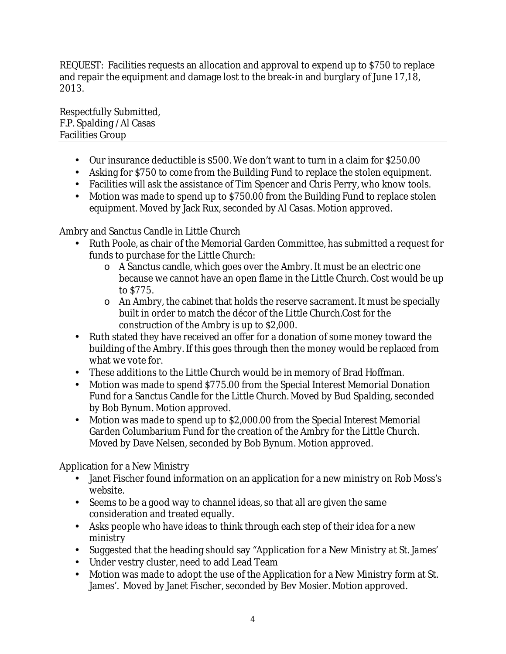REQUEST: Facilities requests an allocation and approval to expend up to \$750 to replace and repair the equipment and damage lost to the break-in and burglary of June 17,18, 2013.

Respectfully Submitted, F.P. Spalding /Al Casas Facilities Group

- Our insurance deductible is \$500. We don't want to turn in a claim for \$250.00
- Asking for \$750 to come from the Building Fund to replace the stolen equipment.
- Facilities will ask the assistance of Tim Spencer and Chris Perry, who know tools.
- Motion was made to spend up to \$750.00 from the Building Fund to replace stolen equipment. Moved by Jack Rux, seconded by Al Casas. Motion approved.

Ambry and Sanctus Candle in Little Church

- Ruth Poole, as chair of the Memorial Garden Committee, has submitted a request for funds to purchase for the Little Church:
	- o A Sanctus candle, which goes over the Ambry. It must be an electric one because we cannot have an open flame in the Little Church. Cost would be up to \$775.
	- o An Ambry, the cabinet that holds the reserve sacrament. It must be specially built in order to match the décor of the Little Church.Cost for the construction of the Ambry is up to \$2,000.
- Ruth stated they have received an offer for a donation of some money toward the building of the Ambry. If this goes through then the money would be replaced from what we vote for.
- These additions to the Little Church would be in memory of Brad Hoffman.
- Motion was made to spend \$775.00 from the Special Interest Memorial Donation Fund for a Sanctus Candle for the Little Church. Moved by Bud Spalding, seconded by Bob Bynum. Motion approved.
- Motion was made to spend up to \$2,000.00 from the Special Interest Memorial Garden Columbarium Fund for the creation of the Ambry for the Little Church. Moved by Dave Nelsen, seconded by Bob Bynum. Motion approved.

Application for a New Ministry

- Janet Fischer found information on an application for a new ministry on Rob Moss's website.
- Seems to be a good way to channel ideas, so that all are given the same consideration and treated equally.
- Asks people who have ideas to think through each step of their idea for a new ministry
- Suggested that the heading should say "Application for a New Ministry *at St. James'*
- Under vestry cluster, need to add Lead Team
- Motion was made to adopt the use of the Application for a New Ministry form at St. James'. Moved by Janet Fischer, seconded by Bev Mosier. Motion approved.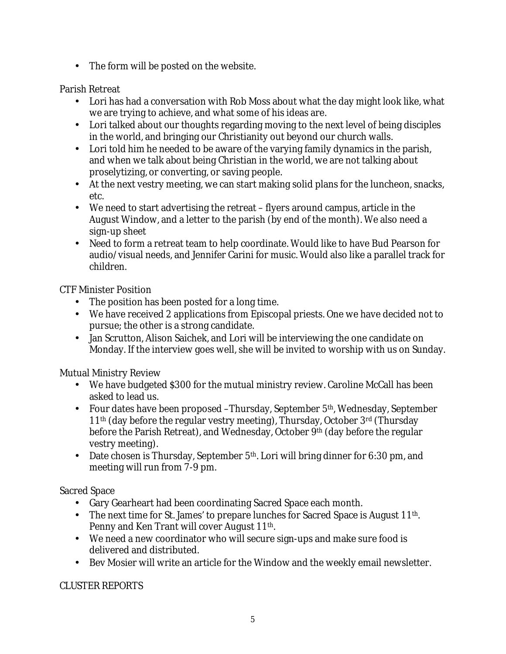• The form will be posted on the website.

Parish Retreat

- Lori has had a conversation with Rob Moss about what the day might look like, what we are trying to achieve, and what some of his ideas are.
- Lori talked about our thoughts regarding moving to the next level of being disciples in the world, and bringing our Christianity out beyond our church walls.
- Lori told him he needed to be aware of the varying family dynamics in the parish, and when we talk about being Christian in the world, we are not talking about proselytizing, or converting, or saving people.
- At the next vestry meeting, we can start making solid plans for the luncheon, snacks, etc.
- We need to start advertising the retreat flyers around campus, article in the August Window, and a letter to the parish (by end of the month). We also need a sign-up sheet
- Need to form a retreat team to help coordinate. Would like to have Bud Pearson for audio/visual needs, and Jennifer Carini for music. Would also like a parallel track for children.

CTF Minister Position

- The position has been posted for a long time.
- We have received 2 applications from Episcopal priests. One we have decided not to pursue; the other is a strong candidate.
- Jan Scrutton, Alison Saichek, and Lori will be interviewing the one candidate on Monday. If the interview goes well, she will be invited to worship with us on Sunday.

Mutual Ministry Review

- We have budgeted \$300 for the mutual ministry review. Caroline McCall has been asked to lead us.
- Four dates have been proposed –Thursday, September 5<sup>th</sup>, Wednesday, September 11th (day before the regular vestry meeting), Thursday, October 3rd (Thursday before the Parish Retreat), and Wednesday, October 9th (day before the regular vestry meeting).
- Date chosen is Thursday, September  $5<sup>th</sup>$ . Lori will bring dinner for 6:30 pm, and meeting will run from 7-9 pm.

Sacred Space

- Gary Gearheart had been coordinating Sacred Space each month.
- The next time for St. James' to prepare lunches for Sacred Space is August 11<sup>th</sup>. Penny and Ken Trant will cover August 11<sup>th</sup>.
- We need a new coordinator who will secure sign-ups and make sure food is delivered and distributed.
- Bev Mosier will write an article for the Window and the weekly email newsletter.

CLUSTER REPORTS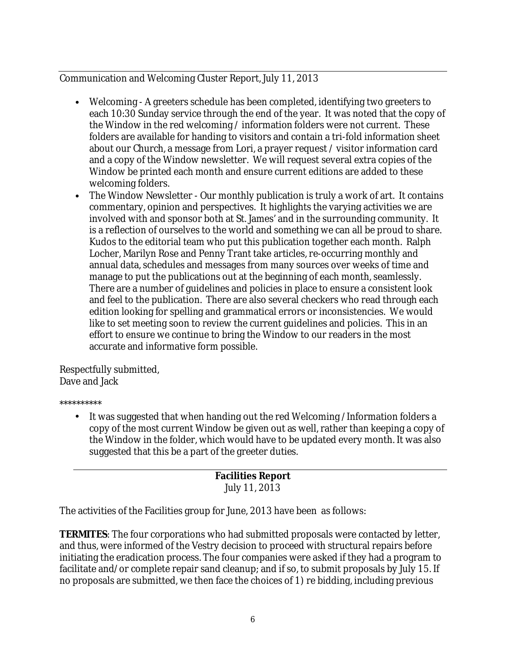Communication and Welcoming Cluster Report, July 11, 2013

- Welcoming A greeters schedule has been completed, identifying two greeters to each 10:30 Sunday service through the end of the year. It was noted that the copy of the Window in the red welcoming / information folders were not current. These folders are available for handing to visitors and contain a tri-fold information sheet about our Church, a message from Lori, a prayer request / visitor information card and a copy of the Window newsletter. We will request several extra copies of the Window be printed each month and ensure current editions are added to these welcoming folders.
- The Window Newsletter Our monthly publication is truly a work of art. It contains commentary, opinion and perspectives. It highlights the varying activities we are involved with and sponsor both at St. James' and in the surrounding community. It is a reflection of ourselves to the world and something we can all be proud to share. Kudos to the editorial team who put this publication together each month. Ralph Locher, Marilyn Rose and Penny Trant take articles, re-occurring monthly and annual data, schedules and messages from many sources over weeks of time and manage to put the publications out at the beginning of each month, seamlessly. There are a number of guidelines and policies in place to ensure a consistent look and feel to the publication. There are also several checkers who read through each edition looking for spelling and grammatical errors or inconsistencies. We would like to set meeting soon to review the current guidelines and policies. This in an effort to ensure we continue to bring the Window to our readers in the most accurate and informative form possible.

Respectfully submitted, Dave and Jack

\*\*\*\*\*\*\*\*\*\*

• It was suggested that when handing out the red Welcoming /Information folders a copy of the most current Window be given out as well, rather than keeping a copy of the Window in the folder, which would have to be updated every month. It was also suggested that this be a part of the greeter duties.

> **Facilities Report**  July 11, 2013

The activities of the Facilities group for June, 2013 have been as follows:

**TERMITES**: The four corporations who had submitted proposals were contacted by letter, and thus, were informed of the Vestry decision to proceed with structural repairs before initiating the eradication process. The four companies were asked if they had a program to facilitate and/or complete repair sand cleanup; and if so, to submit proposals by July 15. If no proposals are submitted, we then face the choices of 1) re bidding, including previous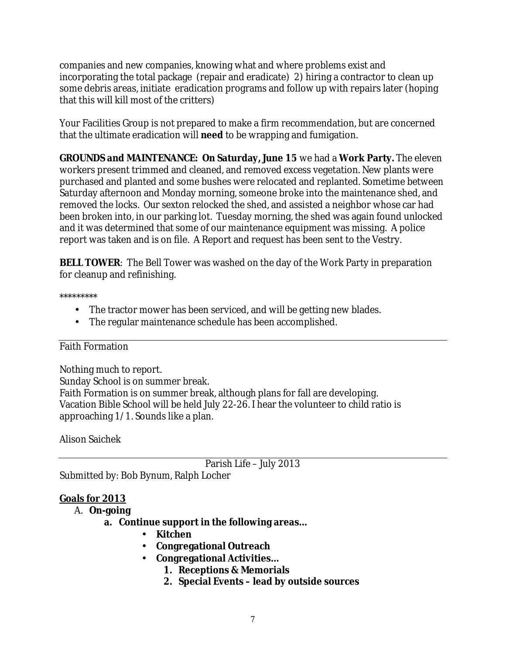companies and new companies, knowing what and where problems exist and incorporating the total package (repair and eradicate) 2) hiring a contractor to clean up some debris areas, initiate eradication programs and follow up with repairs later (hoping that this will kill most of the critters)

Your Facilities Group is not prepared to make a firm recommendation, but are concerned that the ultimate eradication will **need** to be wrapping and fumigation.

**GROUNDS and MAINTENANCE: On Saturday, June 15** we had a **Work Party.** The eleven workers present trimmed and cleaned, and removed excess vegetation. New plants were purchased and planted and some bushes were relocated and replanted. Sometime between Saturday afternoon and Monday morning, someone broke into the maintenance shed, and removed the locks. Our sexton relocked the shed, and assisted a neighbor whose car had been broken into, in our parking lot. Tuesday morning, the shed was again found unlocked and it was determined that some of our maintenance equipment was missing. A police report was taken and is on file. A Report and request has been sent to the Vestry.

**BELL TOWER**: The Bell Tower was washed on the day of the Work Party in preparation for cleanup and refinishing.

\*\*\*\*\*\*\*\*\*

- The tractor mower has been serviced, and will be getting new blades.
- The regular maintenance schedule has been accomplished.

### Faith Formation

Nothing much to report.

Sunday School is on summer break.

Faith Formation is on summer break, although plans for fall are developing. Vacation Bible School will be held July 22-26. I hear the volunteer to child ratio is approaching 1/1. Sounds like a plan.

### Alison Saichek

Parish Life – July 2013 Submitted by: Bob Bynum, Ralph Locher

### **Goals for 2013**

- A. **On-going** 
	- **a. Continue support in the following areas…** 
		- **Kitchen**
		- **Congregational Outreach**
		- **Congregational Activities…** 
			- **1. Receptions & Memorials**
			- **2. Special Events lead by outside sources**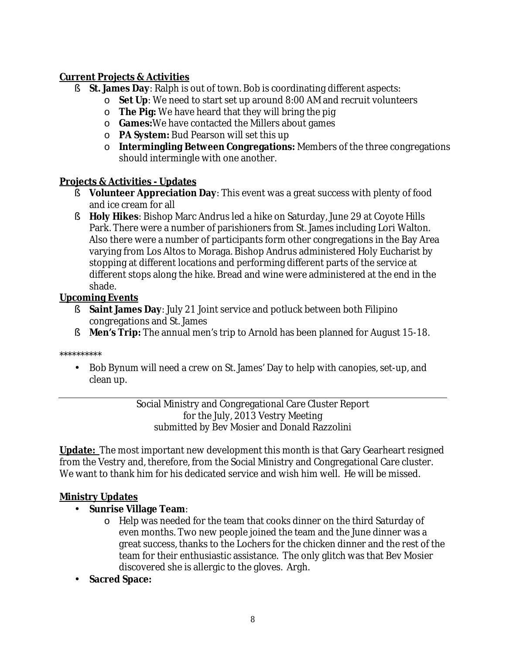### **Current Projects & Activities**

- § **St. James Day**: Ralph is out of town. Bob is coordinating different aspects:
	- o **Set Up**: We need to start set up around 8:00 AM and recruit volunteers
	- o **The Pig:** We have heard that they will bring the pig
	- o **Games:**We have contacted the Millers about games
	- o **PA System:** Bud Pearson will set this up
	- o **Intermingling Between Congregations:** Members of the three congregations should intermingle with one another.

### **Projects & Activities - Updates**

- § **Volunteer Appreciation Day**: This event was a great success with plenty of food and ice cream for all
- § **Holy Hikes**: Bishop Marc Andrus led a hike on Saturday, June 29 at Coyote Hills Park. There were a number of parishioners from St. James including Lori Walton. Also there were a number of participants form other congregations in the Bay Area varying from Los Altos to Moraga. Bishop Andrus administered Holy Eucharist by stopping at different locations and performing different parts of the service at different stops along the hike. Bread and wine were administered at the end in the shade.

# **Upcoming Events**

- § **Saint James Day**: July 21 Joint service and potluck between both Filipino congregations and St. James
- § **Men's Trip:** The annual men's trip to Arnold has been planned for August 15-18.

### \*\*\*\*\*\*\*\*\*\*

• Bob Bynum will need a crew on St. James' Day to help with canopies, set-up, and clean up.

> Social Ministry and Congregational Care Cluster Report for the July, 2013 Vestry Meeting submitted by Bev Mosier and Donald Razzolini

**Update:** The most important new development this month is that Gary Gearheart resigned from the Vestry and, therefore, from the Social Ministry and Congregational Care cluster. We want to thank him for his dedicated service and wish him well. He will be missed.

# **Ministry Updates**

- **Sunrise Village Team**:
	- o Help was needed for the team that cooks dinner on the third Saturday of even months. Two new people joined the team and the June dinner was a great success, thanks to the Lochers for the chicken dinner and the rest of the team for their enthusiastic assistance. The only glitch was that Bev Mosier discovered she is allergic to the gloves. Argh.
- **Sacred Space:**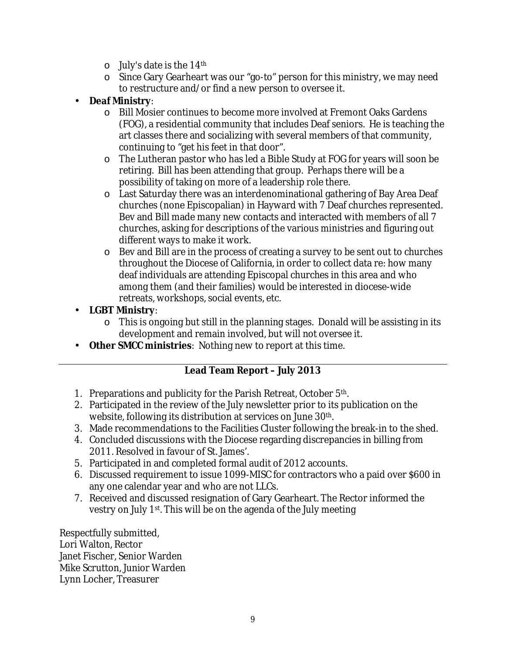- $\circ$  July's date is the 14<sup>th</sup>
- o Since Gary Gearheart was our "go-to" person for this ministry, we may need to restructure and/or find a new person to oversee it.
- **Deaf Ministry**:
	- o Bill Mosier continues to become more involved at Fremont Oaks Gardens (FOG), a residential community that includes Deaf seniors. He is teaching the art classes there and socializing with several members of that community, continuing to "get his feet in that door".
	- o The Lutheran pastor who has led a Bible Study at FOG for years will soon be retiring. Bill has been attending that group. Perhaps there will be a possibility of taking on more of a leadership role there.
	- o Last Saturday there was an interdenominational gathering of Bay Area Deaf churches (none Episcopalian) in Hayward with 7 Deaf churches represented. Bev and Bill made many new contacts and interacted with members of all 7 churches, asking for descriptions of the various ministries and figuring out different ways to make it work.
	- o Bev and Bill are in the process of creating a survey to be sent out to churches throughout the Diocese of California, in order to collect data re: how many deaf individuals are attending Episcopal churches in this area and who among them (and their families) would be interested in diocese-wide retreats, workshops, social events, etc.
- **LGBT Ministry**:
	- o This is ongoing but still in the planning stages. Donald will be assisting in its development and remain involved, but will not oversee it.
- **Other SMCC ministries**: Nothing new to report at this time.

# **Lead Team Report – July 2013**

- 1. Preparations and publicity for the Parish Retreat, October 5th.
- 2. Participated in the review of the July newsletter prior to its publication on the website, following its distribution at services on June 30<sup>th</sup>.
- 3. Made recommendations to the Facilities Cluster following the break-in to the shed.
- 4. Concluded discussions with the Diocese regarding discrepancies in billing from 2011. Resolved in favour of St. James'.
- 5. Participated in and completed formal audit of 2012 accounts.
- 6. Discussed requirement to issue 1099-MISC for contractors who a paid over \$600 in any one calendar year and who are not LLCs.
- 7. Received and discussed resignation of Gary Gearheart. The Rector informed the vestry on July 1st . This will be on the agenda of the July meeting

Respectfully submitted, Lori Walton, Rector Janet Fischer, Senior Warden Mike Scrutton, Junior Warden Lynn Locher, Treasurer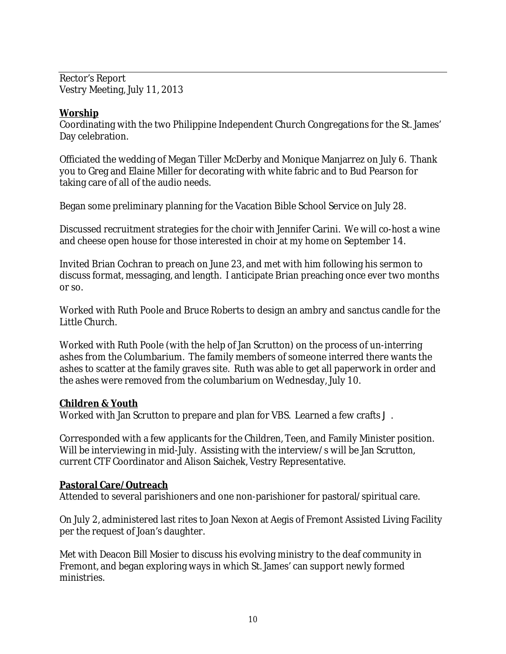Rector's Report Vestry Meeting, July 11, 2013

### **Worship**

Coordinating with the two Philippine Independent Church Congregations for the St. James' Day celebration.

Officiated the wedding of Megan Tiller McDerby and Monique Manjarrez on July 6. Thank you to Greg and Elaine Miller for decorating with white fabric and to Bud Pearson for taking care of all of the audio needs.

Began some preliminary planning for the Vacation Bible School Service on July 28.

Discussed recruitment strategies for the choir with Jennifer Carini. We will co-host a wine and cheese open house for those interested in choir at my home on September 14.

Invited Brian Cochran to preach on June 23, and met with him following his sermon to discuss format, messaging, and length. I anticipate Brian preaching once ever two months or so.

Worked with Ruth Poole and Bruce Roberts to design an ambry and sanctus candle for the Little Church.

Worked with Ruth Poole (with the help of Jan Scrutton) on the process of un-interring ashes from the Columbarium. The family members of someone interred there wants the ashes to scatter at the family graves site. Ruth was able to get all paperwork in order and the ashes were removed from the columbarium on Wednesday, July 10.

### **Children & Youth**

Worked with Jan Scrutton to prepare and plan for VBS. Learned a few crafts J.

Corresponded with a few applicants for the Children, Teen, and Family Minister position. Will be interviewing in mid-July. Assisting with the interview/s will be Jan Scrutton, current CTF Coordinator and Alison Saichek, Vestry Representative.

### **Pastoral Care/Outreach**

Attended to several parishioners and one non-parishioner for pastoral/spiritual care.

On July 2, administered last rites to Joan Nexon at Aegis of Fremont Assisted Living Facility per the request of Joan's daughter.

Met with Deacon Bill Mosier to discuss his evolving ministry to the deaf community in Fremont, and began exploring ways in which St. James' can support newly formed ministries.